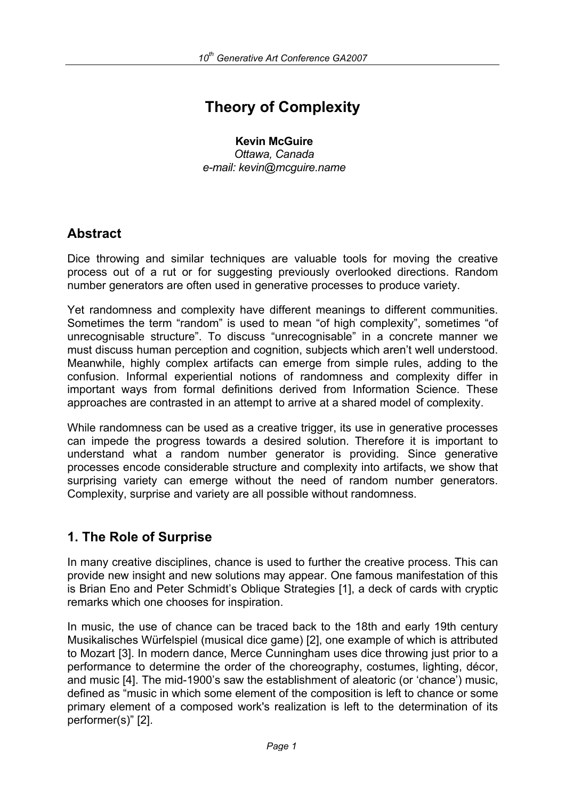# **Theory of Complexity**

#### **Kevin McGuire** *Ottawa, Canada*

*e-mail: kevin@mcguire.name* 

# **Abstract**

Dice throwing and similar techniques are valuable tools for moving the creative process out of a rut or for suggesting previously overlooked directions. Random number generators are often used in generative processes to produce variety.

Yet randomness and complexity have different meanings to different communities. Sometimes the term "random" is used to mean "of high complexity", sometimes "of unrecognisable structure". To discuss "unrecognisable" in a concrete manner we must discuss human perception and cognition, subjects which aren't well understood. Meanwhile, highly complex artifacts can emerge from simple rules, adding to the confusion. Informal experiential notions of randomness and complexity differ in important ways from formal definitions derived from Information Science. These approaches are contrasted in an attempt to arrive at a shared model of complexity.

While randomness can be used as a creative trigger, its use in generative processes can impede the progress towards a desired solution. Therefore it is important to understand what a random number generator is providing. Since generative processes encode considerable structure and complexity into artifacts, we show that surprising variety can emerge without the need of random number generators. Complexity, surprise and variety are all possible without randomness.

# **1. The Role of Surprise**

In many creative disciplines, chance is used to further the creative process. This can provide new insight and new solutions may appear. One famous manifestation of this is Brian Eno and Peter Schmidt's Oblique Strategies [1], a deck of cards with cryptic remarks which one chooses for inspiration.

In music, the use of chance can be traced back to the 18th and early 19th century Musikalisches Würfelspiel (musical dice game) [2], one example of which is attributed to Mozart [3]. In modern dance, Merce Cunningham uses dice throwing just prior to a performance to determine the order of the choreography, costumes, lighting, décor, and music [4]. The mid-1900's saw the establishment of aleatoric (or 'chance') music, defined as "music in which some element of the composition is left to chance or some primary element of a composed work's realization is left to the determination of its performer(s)" [2].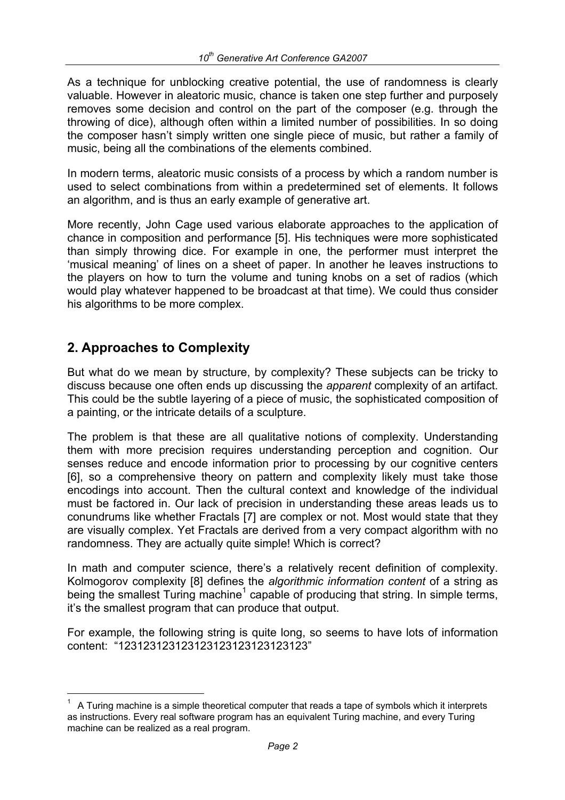As a technique for unblocking creative potential, the use of randomness is clearly valuable. However in aleatoric music, chance is taken one step further and purposely removes some decision and control on the part of the composer (e.g. through the throwing of dice), although often within a limited number of possibilities. In so doing the composer hasn't simply written one single piece of music, but rather a family of music, being all the combinations of the elements combined.

In modern terms, aleatoric music consists of a process by which a random number is used to select combinations from within a predetermined set of elements. It follows an algorithm, and is thus an early example of generative art.

More recently, John Cage used various elaborate approaches to the application of chance in composition and performance [5]. His techniques were more sophisticated than simply throwing dice. For example in one, the performer must interpret the 'musical meaning' of lines on a sheet of paper. In another he leaves instructions to the players on how to turn the volume and tuning knobs on a set of radios (which would play whatever happened to be broadcast at that time). We could thus consider his algorithms to be more complex.

## **2. Approaches to Complexity**

i

But what do we mean by structure, by complexity? These subjects can be tricky to discuss because one often ends up discussing the *apparent* complexity of an artifact. This could be the subtle layering of a piece of music, the sophisticated composition of a painting, or the intricate details of a sculpture.

The problem is that these are all qualitative notions of complexity. Understanding them with more precision requires understanding perception and cognition. Our senses reduce and encode information prior to processing by our cognitive centers [6], so a comprehensive theory on pattern and complexity likely must take those encodings into account. Then the cultural context and knowledge of the individual must be factored in. Our lack of precision in understanding these areas leads us to conundrums like whether Fractals [7] are complex or not. Most would state that they are visually complex. Yet Fractals are derived from a very compact algorithm with no randomness. They are actually quite simple! Which is correct?

In math and computer science, there's a relatively recent definition of complexity. Kolmogorov complexity [8] defines the *algorithmic information content* of a string as being the smallest Turing machine<sup>1</sup> capable of producing that string. In simple terms, it's the smallest program that can produce that output.

For example, the following string is quite long, so seems to have lots of information content: "123123123123123123123123123123"

<sup>1</sup> A Turing machine is a simple theoretical computer that reads a tape of symbols which it interprets as instructions. Every real software program has an equivalent Turing machine, and every Turing machine can be realized as a real program.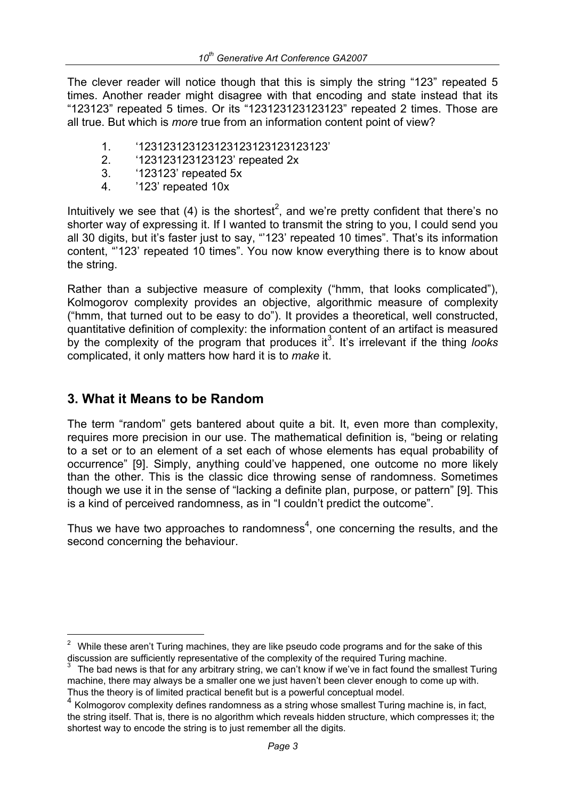The clever reader will notice though that this is simply the string "123" repeated 5 times. Another reader might disagree with that encoding and state instead that its "123123" repeated 5 times. Or its "123123123123123" repeated 2 times. Those are all true. But which is *more* true from an information content point of view?

- 1. '123123123123123123123123123123'
- 2. '123123123123123' repeated 2x
- 3. '123123' repeated 5x
- 4. '123' repeated 10x

Intuitively we see that (4) is the shortest<sup>2</sup>, and we're pretty confident that there's no shorter way of expressing it. If I wanted to transmit the string to you, I could send you all 30 digits, but it's faster just to say, "'123' repeated 10 times". That's its information content, "'123' repeated 10 times". You now know everything there is to know about the string.

Rather than a subjective measure of complexity ("hmm, that looks complicated"), Kolmogorov complexity provides an objective, algorithmic measure of complexity ("hmm, that turned out to be easy to do"). It provides a theoretical, well constructed, quantitative definition of complexity: the information content of an artifact is measured by the complexity of the program that produces it<sup>3</sup>. It's irrelevant if the thing looks complicated, it only matters how hard it is to *make* it.

#### **3. What it Means to be Random**

i

The term "random" gets bantered about quite a bit. It, even more than complexity, requires more precision in our use. The mathematical definition is, "being or relating to a set or to an element of a set each of whose elements has equal probability of occurrence" [9]. Simply, anything could've happened, one outcome no more likely than the other. This is the classic dice throwing sense of randomness. Sometimes though we use it in the sense of "lacking a definite plan, purpose, or pattern" [9]. This is a kind of perceived randomness, as in "I couldn't predict the outcome".

Thus we have two approaches to randomness<sup>4</sup>, one concerning the results, and the second concerning the behaviour.

 $2$  While these aren't Turing machines, they are like pseudo code programs and for the sake of this discussion are sufficiently representative of the complexity of the required Turing machine.<br> $3$  The bad news is that for any arbitrary string, we can't know if we've in fact found the smallest Turing

machine, there may always be a smaller one we just haven't been clever enough to come up with. Thus the theory is of limited practical benefit but is a powerful conceptual model.

<sup>4</sup> Kolmogorov complexity defines randomness as a string whose smallest Turing machine is, in fact, the string itself. That is, there is no algorithm which reveals hidden structure, which compresses it; the shortest way to encode the string is to just remember all the digits.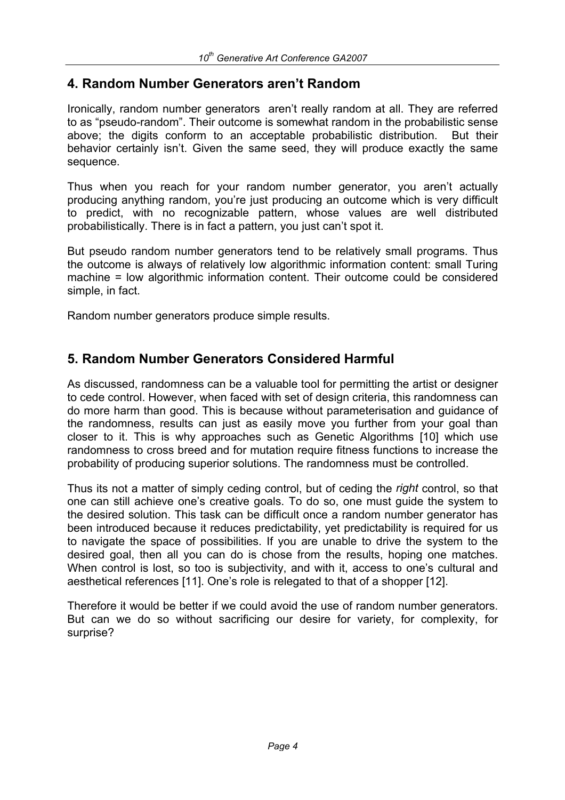### **4. Random Number Generators aren't Random**

Ironically, random number generators aren't really random at all. They are referred to as "pseudo-random". Their outcome is somewhat random in the probabilistic sense above; the digits conform to an acceptable probabilistic distribution. But their behavior certainly isn't. Given the same seed, they will produce exactly the same sequence.

Thus when you reach for your random number generator, you aren't actually producing anything random, you're just producing an outcome which is very difficult to predict, with no recognizable pattern, whose values are well distributed probabilistically. There is in fact a pattern, you just can't spot it.

But pseudo random number generators tend to be relatively small programs. Thus the outcome is always of relatively low algorithmic information content: small Turing machine = low algorithmic information content. Their outcome could be considered simple, in fact.

Random number generators produce simple results.

### **5. Random Number Generators Considered Harmful**

As discussed, randomness can be a valuable tool for permitting the artist or designer to cede control. However, when faced with set of design criteria, this randomness can do more harm than good. This is because without parameterisation and guidance of the randomness, results can just as easily move you further from your goal than closer to it. This is why approaches such as Genetic Algorithms [10] which use randomness to cross breed and for mutation require fitness functions to increase the probability of producing superior solutions. The randomness must be controlled.

Thus its not a matter of simply ceding control, but of ceding the *right* control, so that one can still achieve one's creative goals. To do so, one must guide the system to the desired solution. This task can be difficult once a random number generator has been introduced because it reduces predictability, yet predictability is required for us to navigate the space of possibilities. If you are unable to drive the system to the desired goal, then all you can do is chose from the results, hoping one matches. When control is lost, so too is subjectivity, and with it, access to one's cultural and aesthetical references [11]. One's role is relegated to that of a shopper [12].

Therefore it would be better if we could avoid the use of random number generators. But can we do so without sacrificing our desire for variety, for complexity, for surprise?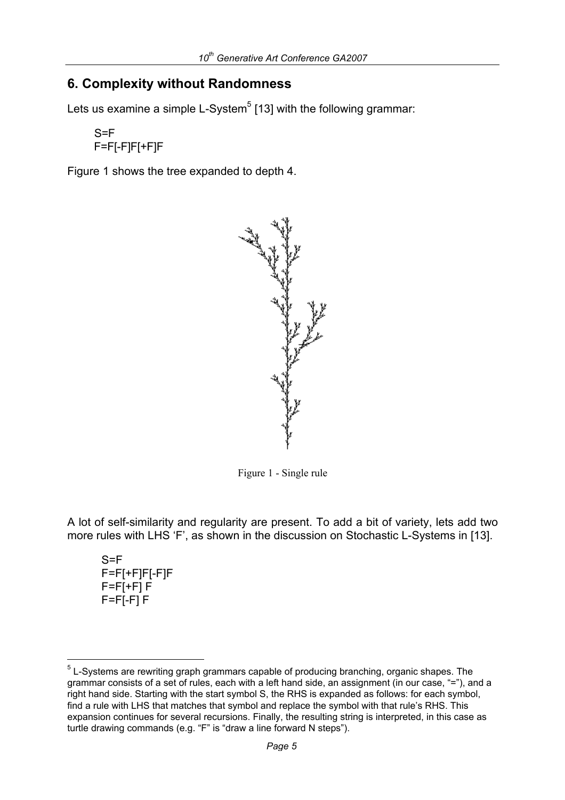### **6. Complexity without Randomness**

Lets us examine a simple L-System $^5$  [13] with the following grammar:

```
S = FF=F[-F]F[+F]F
```
Figure 1 shows the tree expanded to depth 4.



Figure 1 - Single rule

A lot of self-similarity and regularity are present. To add a bit of variety, lets add two more rules with LHS 'F', as shown in the discussion on Stochastic L-Systems in [13].

 $S = F$ F=F[+F]F[-F]F F=F[+F] F F=F[-F] F

i

 $5$  L-Systems are rewriting graph grammars capable of producing branching, organic shapes. The grammar consists of a set of rules, each with a left hand side, an assignment (in our case, "="), and a right hand side. Starting with the start symbol S, the RHS is expanded as follows: for each symbol, find a rule with LHS that matches that symbol and replace the symbol with that rule's RHS. This expansion continues for several recursions. Finally, the resulting string is interpreted, in this case as turtle drawing commands (e.g. "F" is "draw a line forward N steps").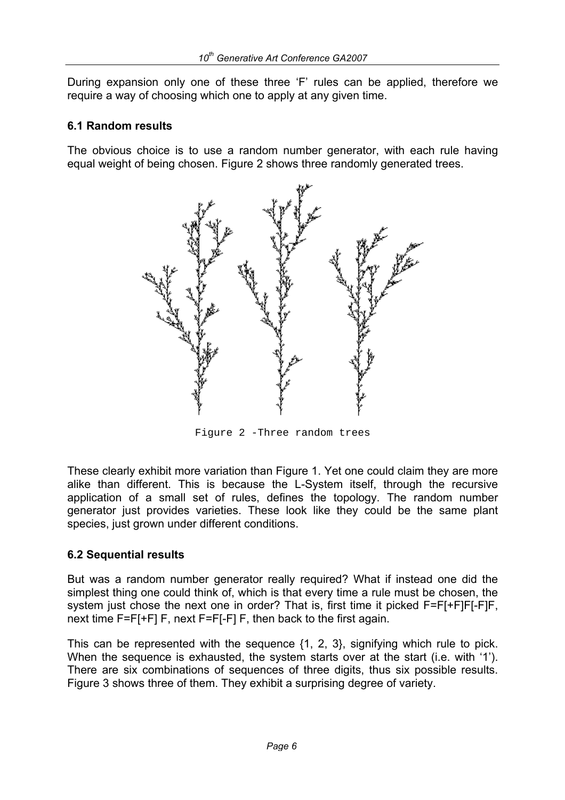During expansion only one of these three 'F' rules can be applied, therefore we require a way of choosing which one to apply at any given time.

#### **6.1 Random results**

The obvious choice is to use a random number generator, with each rule having equal weight of being chosen. Figure 2 shows three randomly generated trees.



Figure 2 -Three random trees

These clearly exhibit more variation than Figure 1. Yet one could claim they are more alike than different. This is because the L-System itself, through the recursive application of a small set of rules, defines the topology. The random number generator just provides varieties. These look like they could be the same plant species, just grown under different conditions.

#### **6.2 Sequential results**

But was a random number generator really required? What if instead one did the simplest thing one could think of, which is that every time a rule must be chosen, the system just chose the next one in order? That is, first time it picked F=F[+F]F[-F]F, next time F=F[+F] F, next F=F[-F] F, then back to the first again.

This can be represented with the sequence {1, 2, 3}, signifying which rule to pick. When the sequence is exhausted, the system starts over at the start (i.e. with '1'). There are six combinations of sequences of three digits, thus six possible results. Figure 3 shows three of them. They exhibit a surprising degree of variety.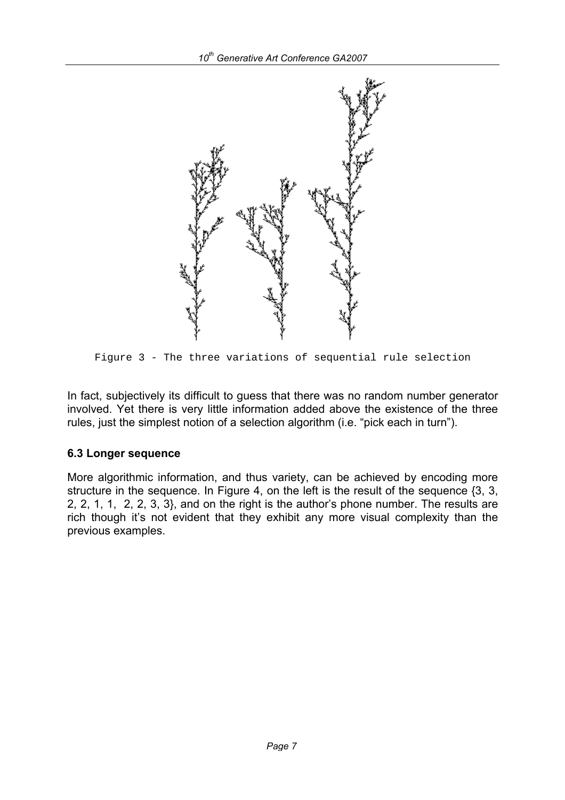

Figure 3 - The three variations of sequential rule selection

In fact, subjectively its difficult to guess that there was no random number generator involved. Yet there is very little information added above the existence of the three rules, just the simplest notion of a selection algorithm (i.e. "pick each in turn").

#### **6.3 Longer sequence**

More algorithmic information, and thus variety, can be achieved by encoding more structure in the sequence. In Figure 4, on the left is the result of the sequence {3, 3, 2, 2, 1, 1, 2, 2, 3, 3}, and on the right is the author's phone number. The results are rich though it's not evident that they exhibit any more visual complexity than the previous examples.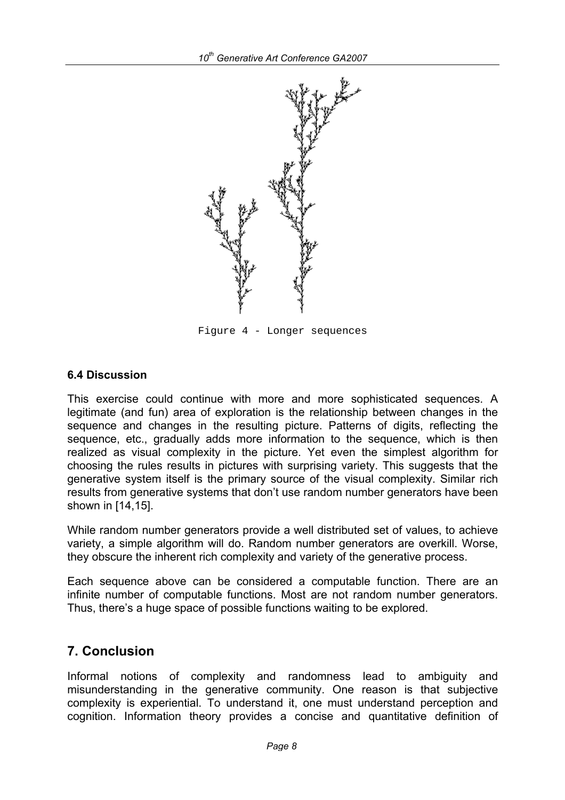

Figure 4 - Longer sequences

#### **6.4 Discussion**

This exercise could continue with more and more sophisticated sequences. A legitimate (and fun) area of exploration is the relationship between changes in the sequence and changes in the resulting picture. Patterns of digits, reflecting the sequence, etc., gradually adds more information to the sequence, which is then realized as visual complexity in the picture. Yet even the simplest algorithm for choosing the rules results in pictures with surprising variety. This suggests that the generative system itself is the primary source of the visual complexity. Similar rich results from generative systems that don't use random number generators have been shown in [14,15].

While random number generators provide a well distributed set of values, to achieve variety, a simple algorithm will do. Random number generators are overkill. Worse, they obscure the inherent rich complexity and variety of the generative process.

Each sequence above can be considered a computable function. There are an infinite number of computable functions. Most are not random number generators. Thus, there's a huge space of possible functions waiting to be explored.

### **7. Conclusion**

Informal notions of complexity and randomness lead to ambiguity and misunderstanding in the generative community. One reason is that subjective complexity is experiential. To understand it, one must understand perception and cognition. Information theory provides a concise and quantitative definition of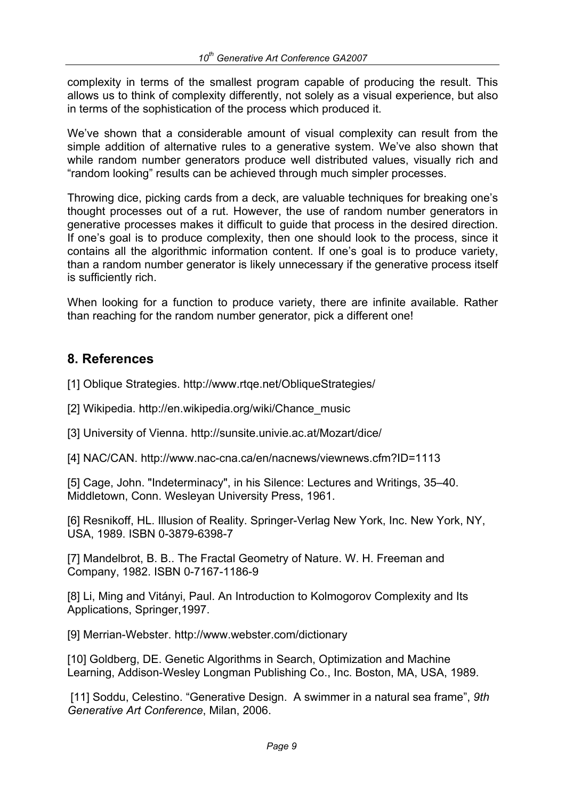complexity in terms of the smallest program capable of producing the result. This allows us to think of complexity differently, not solely as a visual experience, but also in terms of the sophistication of the process which produced it.

We've shown that a considerable amount of visual complexity can result from the simple addition of alternative rules to a generative system. We've also shown that while random number generators produce well distributed values, visually rich and "random looking" results can be achieved through much simpler processes.

Throwing dice, picking cards from a deck, are valuable techniques for breaking one's thought processes out of a rut. However, the use of random number generators in generative processes makes it difficult to guide that process in the desired direction. If one's goal is to produce complexity, then one should look to the process, since it contains all the algorithmic information content. If one's goal is to produce variety, than a random number generator is likely unnecessary if the generative process itself is sufficiently rich.

When looking for a function to produce variety, there are infinite available. Rather than reaching for the random number generator, pick a different one!

### **8. References**

[1] Oblique Strategies. http://www.rtge.net/ObliqueStrategies/

[2] Wikipedia. http://en.wikipedia.org/wiki/Chance\_music

[3] University of Vienna. http://sunsite.univie.ac.at/Mozart/dice/

[4] NAC/CAN. http://www.nac-cna.ca/en/nacnews/viewnews.cfm?ID=1113

[5] Cage, John. "Indeterminacy", in his Silence: Lectures and Writings, 35–40. Middletown, Conn. Wesleyan University Press, 1961.

[6] Resnikoff, HL. Illusion of Reality. Springer-Verlag New York, Inc. New York, NY, USA, 1989. ISBN 0-3879-6398-7

[7] Mandelbrot, B. B.. The Fractal Geometry of Nature. W. H. Freeman and Company, 1982. ISBN 0-7167-1186-9

[8] Li, Ming and Vitányi, Paul. An Introduction to Kolmogorov Complexity and Its Applications, Springer,1997.

[9] Merrian-Webster. http://www.webster.com/dictionary

[10] Goldberg, DE. Genetic Algorithms in Search, Optimization and Machine Learning, Addison-Wesley Longman Publishing Co., Inc. Boston, MA, USA, 1989.

 [11] Soddu, Celestino. "Generative Design. A swimmer in a natural sea frame", *9th Generative Art Conference*, Milan, 2006.